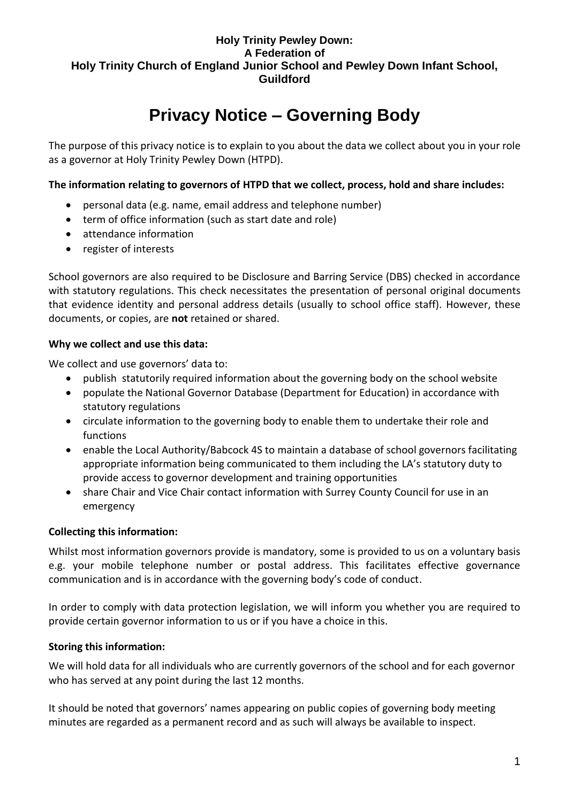#### **Holy Trinity Pewley Down: A Federation of Holy Trinity Church of England Junior School and Pewley Down Infant School, Guildford**

# **Privacy Notice – Governing Body**

The purpose of this privacy notice is to explain to you about the data we collect about you in your role as a governor at Holy Trinity Pewley Down (HTPD).

**The information relating to governors of HTPD that we collect, process, hold and share includes:**

- personal data (e.g. name, email address and telephone number)
- term of office information (such as start date and role)
- attendance information
- register of interests

School governors are also required to be Disclosure and Barring Service (DBS) checked in accordance with statutory regulations. This check necessitates the presentation of personal original documents that evidence identity and personal address details (usually to school office staff). However, these documents, or copies, are **not** retained or shared.

#### **Why we collect and use this data:**

We collect and use governors' data to:

- publish statutorily required information about the governing body on the school website
- populate the National Governor Database (Department for Education) in accordance with statutory regulations
- circulate information to the governing body to enable them to undertake their role and functions
- enable the Local Authority/Babcock 4S to maintain a database of school governors facilitating appropriate information being communicated to them including the LA's statutory duty to provide access to governor development and training opportunities
- share Chair and Vice Chair contact information with Surrey County Council for use in an emergency

### **Collecting this information:**

Whilst most information governors provide is mandatory, some is provided to us on a voluntary basis e.g. your mobile telephone number or postal address. This facilitates effective governance communication and is in accordance with the governing body's code of conduct.

In order to comply with data protection legislation, we will inform you whether you are required to provide certain governor information to us or if you have a choice in this.

### **Storing this information:**

We will hold data for all individuals who are currently governors of the school and for each governor who has served at any point during the last 12 months.

It should be noted that governors' names appearing on public copies of governing body meeting minutes are regarded as a permanent record and as such will always be available to inspect.